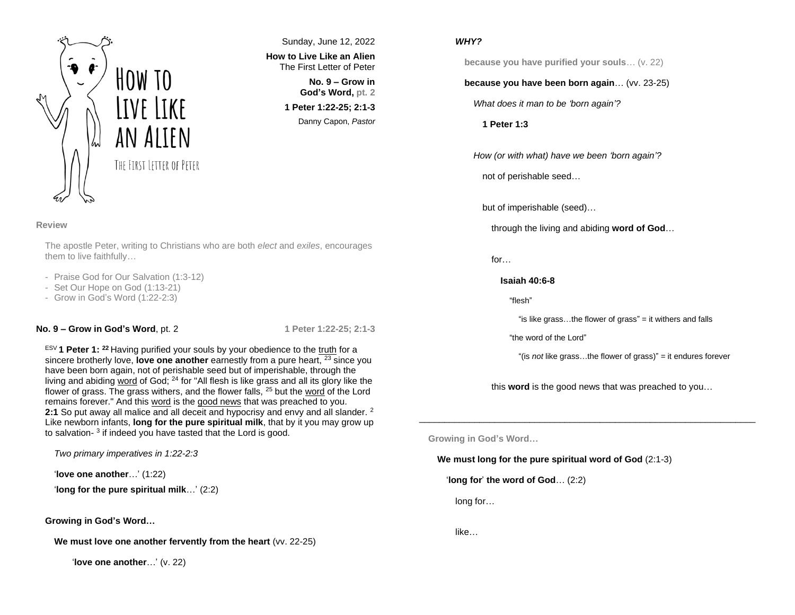

Sunday, June 12, 2022 **How to Live Like an Alien** The First Letter of Peter

> **No. 9 – Grow in God's Word, pt. 2 1 Peter 1:22-25; 2:1-3** Danny Capon, *Pastor*

#### **Review**

The apostle Peter, writing to Christians who are both *elect* and *exiles*, encourages them to live faithfully…

- Praise God for Our Salvation (1:3-12)
- Set Our Hope on God (1:13-21)
- Grow in God's Word (1:22-2:3)

## **No. 9 – Grow in God's Word**, pt. 2 **1 Peter 1:22-25; 2:1-3**

ESV **1 Peter 1: <sup>22</sup>** Having purified your souls by your obedience to the truth for a sincere brotherly love, **love one another** earnestly from a pure heart, <sup>23</sup> since you have been born again, not of perishable seed but of imperishable, through the living and abiding word of God;  $24$  for "All flesh is like grass and all its glory like the flower of grass. The grass withers, and the flower falls,  $25$  but the word of the Lord remains forever." And this word is the good news that was preached to you. **2:1** So put away all malice and all deceit and hypocrisy and envy and all slander. <sup>2</sup> Like newborn infants, **long for the pure spiritual milk**, that by it you may grow up to salvation-<sup>3</sup> if indeed you have tasted that the Lord is good.

*Two primary imperatives in 1:22-2:3*

'**love one another**…' (1:22)

'**long for the pure spiritual milk**…' (2:2)

**Growing in God's Word…**

**We must love one another fervently from the heart** (vv. 22-25)

'**love one another**…' (v. 22)

## *WHY?*

**because you have purified your souls**… (v. 22)

# **because you have been born again**… (vv. 23-25)

*What does it man to be 'born again'?*

**1 Peter 1:3**

*How (or with what) have we been 'born again'?*

not of perishable seed…

but of imperishable (seed)…

through the living and abiding **word of God**…

for…

## **Isaiah 40:6-8**

"flesh"

"is like grass…the flower of grass" = it withers and falls

"the word of the Lord"

"(is *not* like grass…the flower of grass)" = it endures forever

this **word** is the good news that was preached to you…

 $\_$  . The contribution of the contribution of  $\mathcal{L}_1$  ,  $\mathcal{L}_2$  ,  $\mathcal{L}_3$  ,  $\mathcal{L}_4$  ,  $\mathcal{L}_5$  ,  $\mathcal{L}_6$  ,  $\mathcal{L}_7$  ,  $\mathcal{L}_8$  ,  $\mathcal{L}_9$  ,  $\mathcal{L}_9$  ,  $\mathcal{L}_8$  ,  $\mathcal{L}_9$  ,  $\mathcal{L}_9$  ,  $\mathcal{L}_8$  ,  $\mathcal{L}_$ 

**Growing in God's Word…**

**We must long for the pure spiritual word of God** (2:1-3)

'**long for**' **the word of God**… (2:2)

long for…

like…